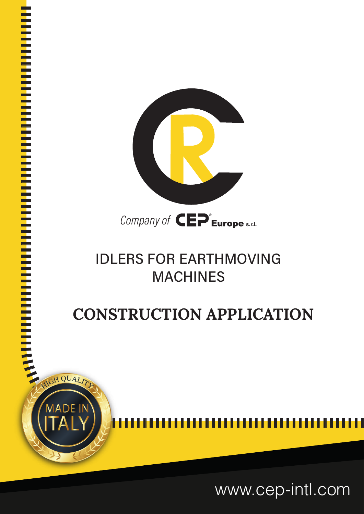

### **IDLERS FOR EARTHMOVING MACHINES**

## **CONSTRUCTION APPLICATION**

<sup>I</sup> <sup>I</sup> <sup>I</sup> <sup>I</sup> <sup>I</sup> <sup>I</sup> <sup>I</sup> <sup>I</sup> <sup>I</sup> <sup>I</sup> <sup>I</sup> <sup>I</sup> <sup>I</sup> <sup>I</sup> <sup>I</sup> <sup>I</sup> <sup>I</sup> <sup>I</sup> <sup>I</sup> <sup>I</sup> <sup>I</sup> <sup>I</sup> <sup>I</sup> <sup>I</sup> <sup>I</sup> <sup>I</sup> <sup>I</sup> <sup>I</sup> <sup>I</sup> <sup>I</sup> <sup>I</sup> <sup>I</sup> <sup>I</sup> <sup>I</sup> <sup>I</sup> <sup>I</sup> <sup>I</sup> <sup>I</sup> <sup>I</sup> <sup>I</sup> <sup>I</sup> <sup>I</sup> <sup>I</sup> <sup>I</sup> <sup>I</sup> <sup>I</sup> <sup>I</sup> <sup>I</sup> <sup>I</sup> <sup>I</sup> <sup>I</sup> <sup>I</sup> <sup>I</sup> <sup>I</sup> <sup>I</sup> <sup>I</sup> <sup>I</sup>

**I In the United States In the United States** 

I I I I I I I I I I I I I I I I I I I I I I I I I I I I I I I I I I I I I I I I I I I I I I I I I I I I I I I I

www.cep-intl.com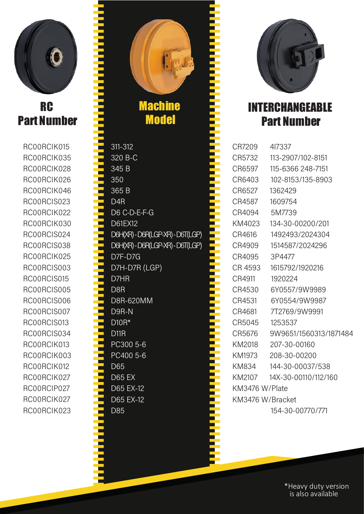

#### **RC** Part Number

RC00RCIK015 RC00RCIK035 RC00RCIK028 RC00RCIK026 RC00RCIK046 RC00RCIS023 RC00RCIK022 RC00RCIK030 RC00RCIS024 RC00RCIS038 RC00RCIK025 RC00RCIS003 RC00RCIS015 RC00RCIS005 RC00RCIS006 RC00RCIS007 RC00RCIS013 RC00RCIS034 RC00RCIK013 RC00RCIK003 RC00RCIK012 RC00RCIK027 RC00RCIP027 RC00RCIK027 RC00RCIK023

**Machine Model** IIIIIIIIIIIIIIIIIIIIIIIIIIIIIIIIIIIIIIIIIIIIIIIIIIIIIIIIIIIIIIIIIIIIIIIIIIIIII  $311 - 312$ 320 B-C 345 B 350 365 B D<sub>4</sub>R D6 C-D-E-F-G D61EX12 D6H(XR)-D6R(LGP-XR)-D6T(LGP) D6H(XR)-D6R(LGP-XR)-D6T(LGP) D7F-D7G D7H-D7R (LGP) D7HR D<sub>8</sub>R D8R-620MM D9R-N D10R\* **D11R** PC300 5-6 PC400 5-6 D65 **D65 EX** D65 EX-12 D65 EX-12 D85

IIIIIIIIIIIIIIIIIIIIIIIIIIIIIIIIIIIIIIIIIIIIIIIIIIIIIIIIIIIIIIIIIIIIIIIIII



#### INTERCHANGEABLE Part Number

| CR7209           | 417337                 |  |
|------------------|------------------------|--|
| CR5732           | 113-2907/102-8151      |  |
| CR6597           | 115-6366 248-7151      |  |
| CR6403           | 102-8153/135-8903      |  |
| CR6527           | 1362429                |  |
| CR4587           | 1609754                |  |
| CR4094           | 5M7739                 |  |
| KM4023           | 134-30-00200/201       |  |
| CR4616           | 1492493/2024304        |  |
| CR4909           | 1514587/2024296        |  |
| CR4095           | 3P4477                 |  |
| CR 4593          | 1615792/1920216        |  |
| CR4911           | 1920224                |  |
| CR4530           | 6Y0557/9W9989          |  |
| CR4531           | 6Y0554/9W9987          |  |
| CR4681           | 7T2769/9W9991          |  |
| CR5045           | 1253537                |  |
| CR5676           | 9W9651/1560313/1871484 |  |
| KM2018           | 207-30-00160           |  |
| KM1973           | 208-30-00200           |  |
| KM834            | 144-30-00037/538       |  |
| KM2107           | 14X-30-00110/112/160   |  |
| KM3476 W/Plate   |                        |  |
| KM3476 W/Bracket |                        |  |
|                  | 154-30-00770/771       |  |

\*Heavy duty version is also available